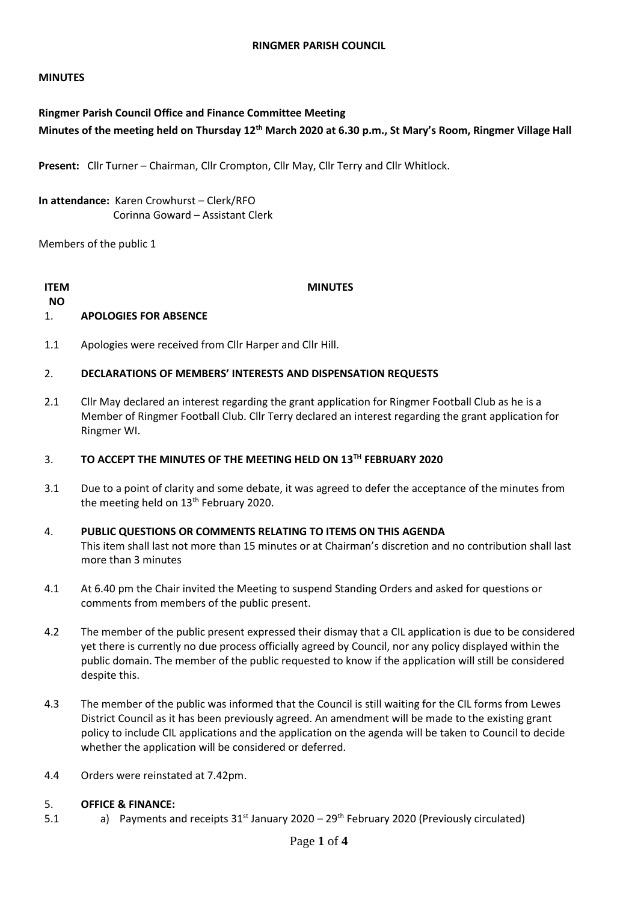# **MINUTES**

# **Ringmer Parish Council Office and Finance Committee Meeting Minutes of the meeting held on Thursday 12th March 2020 at 6.30 p.m., St Mary's Room, Ringmer Village Hall**

**Present:** Cllr Turner – Chairman, Cllr Crompton, Cllr May, Cllr Terry and Cllr Whitlock.

**In attendance:** Karen Crowhurst – Clerk/RFO Corinna Goward – Assistant Clerk

Members of the public 1

# **ITEM**

**MINUTES**

## **NO** 1. **APOLOGIES FOR ABSENCE**

1.1 Apologies were received from Cllr Harper and Cllr Hill.

### 2. **DECLARATIONS OF MEMBERS' INTERESTS AND DISPENSATION REQUESTS**

2.1 Cllr May declared an interest regarding the grant application for Ringmer Football Club as he is a Member of Ringmer Football Club. Cllr Terry declared an interest regarding the grant application for Ringmer WI.

### 3. **TO ACCEPT THE MINUTES OF THE MEETING HELD ON 13TH FEBRUARY 2020**

3.1 Due to a point of clarity and some debate, it was agreed to defer the acceptance of the minutes from the meeting held on 13<sup>th</sup> February 2020.

# 4. **PUBLIC QUESTIONS OR COMMENTS RELATING TO ITEMS ON THIS AGENDA** This item shall last not more than 15 minutes or at Chairman's discretion and no contribution shall last more than 3 minutes

- 4.1 At 6.40 pm the Chair invited the Meeting to suspend Standing Orders and asked for questions or comments from members of the public present.
- 4.2 The member of the public present expressed their dismay that a CIL application is due to be considered yet there is currently no due process officially agreed by Council, nor any policy displayed within the public domain. The member of the public requested to know if the application will still be considered despite this.
- 4.3 The member of the public was informed that the Council is still waiting for the CIL forms from Lewes District Council as it has been previously agreed. An amendment will be made to the existing grant policy to include CIL applications and the application on the agenda will be taken to Council to decide whether the application will be considered or deferred.
- 4.4 Orders were reinstated at 7.42pm.

#### 5. **OFFICE & FINANCE:**

5.1 a) Payments and receipts  $31<sup>st</sup>$  January 2020 – 29<sup>th</sup> February 2020 (Previously circulated)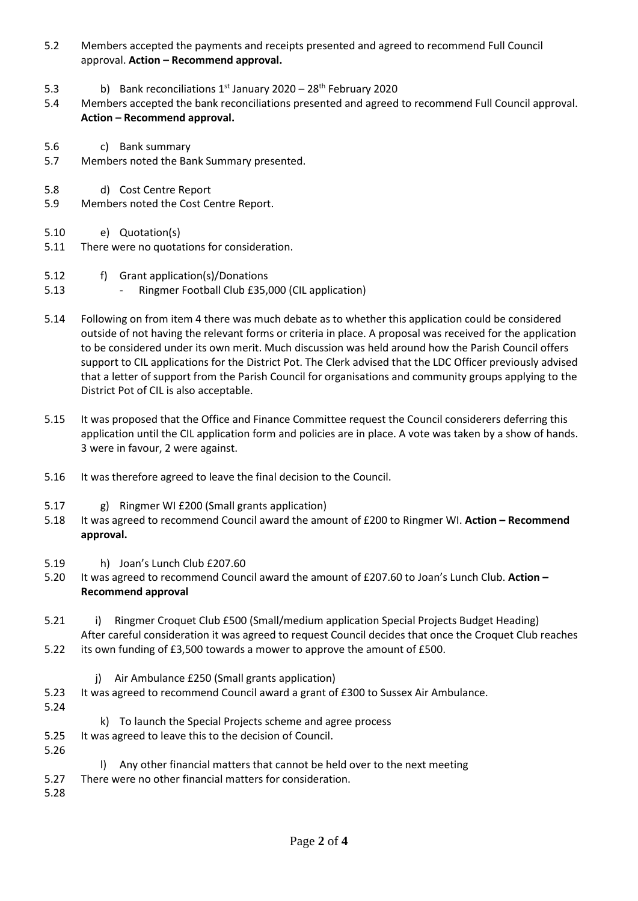- 5.2 Members accepted the payments and receipts presented and agreed to recommend Full Council approval. **Action – Recommend approval.**
- 5.3 b) Bank reconciliations  $1^{st}$  January 2020 – 28<sup>th</sup> February 2020
- 5.4 Members accepted the bank reconciliations presented and agreed to recommend Full Council approval. **Action – Recommend approval.**
- 5.6 c) Bank summary
- 5.7 Members noted the Bank Summary presented.
- 5.8 d) Cost Centre Report
- 5.9 Members noted the Cost Centre Report.
- 5.10 e) Quotation(s)
- 5.11 There were no quotations for consideration.
- 5.12 f) Grant application(s)/Donations
- 5.13 - Ringmer Football Club £35,000 (CIL application)
- 5.14 Following on from item 4 there was much debate as to whether this application could be considered outside of not having the relevant forms or criteria in place. A proposal was received for the application to be considered under its own merit. Much discussion was held around how the Parish Council offers support to CIL applications for the District Pot. The Clerk advised that the LDC Officer previously advised that a letter of support from the Parish Council for organisations and community groups applying to the District Pot of CIL is also acceptable.
- 5.15 It was proposed that the Office and Finance Committee request the Council considerers deferring this application until the CIL application form and policies are in place. A vote was taken by a show of hands. 3 were in favour, 2 were against.
- 5.16 It was therefore agreed to leave the final decision to the Council.
- 5.17 g) Ringmer WI £200 (Small grants application)
- 5.18 It was agreed to recommend Council award the amount of £200 to Ringmer WI. **Action – Recommend approval.**
- 5.19 h) Joan's Lunch Club £207.60
- 5.20 It was agreed to recommend Council award the amount of £207.60 to Joan's Lunch Club. **Action – Recommend approval**
- 5.21 i) Ringmer Croquet Club £500 (Small/medium application Special Projects Budget Heading) After careful consideration it was agreed to request Council decides that once the Croquet Club reaches
- 5.22 its own funding of £3,500 towards a mower to approve the amount of £500.
	- j) Air Ambulance £250 (Small grants application)
- 5.23 It was agreed to recommend Council award a grant of £300 to Sussex Air Ambulance.
- 5.24
- k) To launch the Special Projects scheme and agree process
- 5.25 It was agreed to leave this to the decision of Council.
- 5.26
- Any other financial matters that cannot be held over to the next meeting
- 5.27 There were no other financial matters for consideration.
- 5.28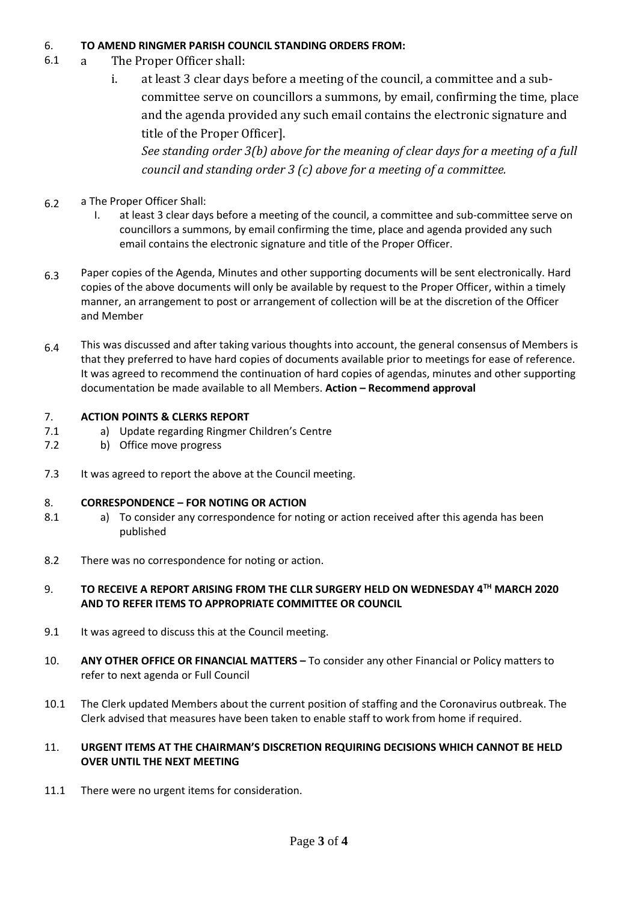## 6. **TO AMEND RINGMER PARISH COUNCIL STANDING ORDERS FROM:**

- 6.1 a The Proper Officer shall:
	- i. at least 3 clear days before a meeting of the council, a committee and a subcommittee serve on councillors a summons, by email, confirming the time, place and the agenda provided any such email contains the electronic signature and title of the Proper Officer].

*See standing order 3(b) above for the meaning of clear days for a meeting of a full council and standing order 3 (c) above for a meeting of a committee.*

- 6.2 a The Proper Officer Shall:
	- I. at least 3 clear days before a meeting of the council, a committee and sub-committee serve on councillors a summons, by email confirming the time, place and agenda provided any such email contains the electronic signature and title of the Proper Officer.
- 6.3 Paper copies of the Agenda, Minutes and other supporting documents will be sent electronically. Hard copies of the above documents will only be available by request to the Proper Officer, within a timely manner, an arrangement to post or arrangement of collection will be at the discretion of the Officer and Member
- 6.4 This was discussed and after taking various thoughts into account, the general consensus of Members is that they preferred to have hard copies of documents available prior to meetings for ease of reference. It was agreed to recommend the continuation of hard copies of agendas, minutes and other supporting documentation be made available to all Members. **Action – Recommend approval**

### 7. **ACTION POINTS & CLERKS REPORT**

- 7.1 a) Update regarding Ringmer Children's Centre
- 7.2 b) Office move progress
- 7.3 It was agreed to report the above at the Council meeting.

## 8. **CORRESPONDENCE – FOR NOTING OR ACTION**

- 8.1 a) To consider any correspondence for noting or action received after this agenda has been published
- 8.2 There was no correspondence for noting or action.

# 9. **TO RECEIVE A REPORT ARISING FROM THE CLLR SURGERY HELD ON WEDNESDAY 4TH MARCH 2020 AND TO REFER ITEMS TO APPROPRIATE COMMITTEE OR COUNCIL**

- 9.1 It was agreed to discuss this at the Council meeting.
- 10. **ANY OTHER OFFICE OR FINANCIAL MATTERS –** To consider any other Financial or Policy matters to refer to next agenda or Full Council
- 10.1 The Clerk updated Members about the current position of staffing and the Coronavirus outbreak. The Clerk advised that measures have been taken to enable staff to work from home if required.

# 11. **URGENT ITEMS AT THE CHAIRMAN'S DISCRETION REQUIRING DECISIONS WHICH CANNOT BE HELD OVER UNTIL THE NEXT MEETING**

11.1 There were no urgent items for consideration.